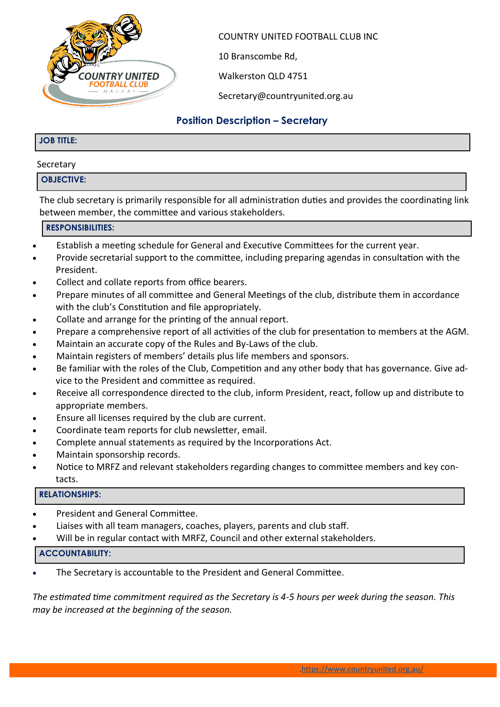

COUNTRY UNITED FOOTBALL CLUB INC

10 Branscombe Rd,

Walkerston QLD 4751

Secretary@countryunited.org.au

## **Position Description – Secretary**

#### **JOB TITLE:**

#### Secretary

#### **OBJECTIVE:**

The club secretary is primarily responsible for all administration duties and provides the coordinating link between member, the committee and various stakeholders.

#### **RESPONSIBILITIES:**

- Establish a meeting schedule for General and Executive Committees for the current year.
- Provide secretarial support to the committee, including preparing agendas in consultation with the President.
- Collect and collate reports from office bearers.
- Prepare minutes of all committee and General Meetings of the club, distribute them in accordance with the club's Constitution and file appropriately.
- Collate and arrange for the printing of the annual report.
- Prepare a comprehensive report of all activities of the club for presentation to members at the AGM.
- Maintain an accurate copy of the Rules and By-Laws of the club.
- Maintain registers of members' details plus life members and sponsors.
- Be familiar with the roles of the Club, Competition and any other body that has governance. Give advice to the President and committee as required.
- Receive all correspondence directed to the club, inform President, react, follow up and distribute to appropriate members.
- Ensure all licenses required by the club are current.
- Coordinate team reports for club newsletter, email.
- Complete annual statements as required by the Incorporations Act.
- Maintain sponsorship records.
- Notice to MRFZ and relevant stakeholders regarding changes to committee members and key contacts.

#### **RELATIONSHIPS:**

- President and General Committee.
- Liaises with all team managers, coaches, players, parents and club staff.
- Will be in regular contact with MRFZ, Council and other external stakeholders.

#### **ACCOUNTABILITY:**

The Secretary is accountable to the President and General Committee.

*The estimated time commitment required as the Secretary is 4-5 hours per week during the season. This may be increased at the beginning of the season.*